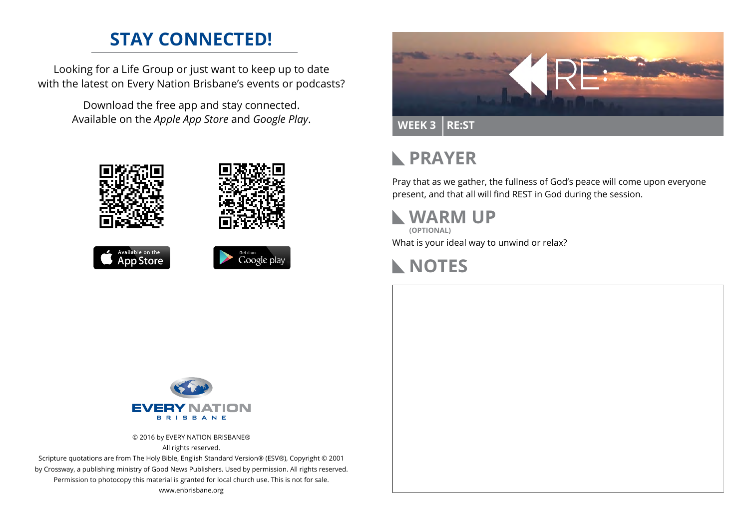## **STAY CONNECTED!**

Looking for a Life Group or just want to keep up to date with the latest on Every Nation Brisbane's events or podcasts?

> Download the free app and stay connected. Available on the *Apple App Store* and *Google Play*.











# **RAYER**

Pray that as we gather, the fullness of God's peace will come upon everyone present, and that all will find REST in God during the session.

### **WARM UP**

What is your ideal way to unwind or relax? **(OPTIONAL)**





© 2016 by EVERY NATION BRISBANE® All rights reserved.

Scripture quotations are from The Holy Bible, English Standard Version® (ESV®), Copyright © 2001 by Crossway, a publishing ministry of Good News Publishers. Used by permission. All rights reserved. Permission to photocopy this material is granted for local church use. This is not for sale. www.enbrisbane.org